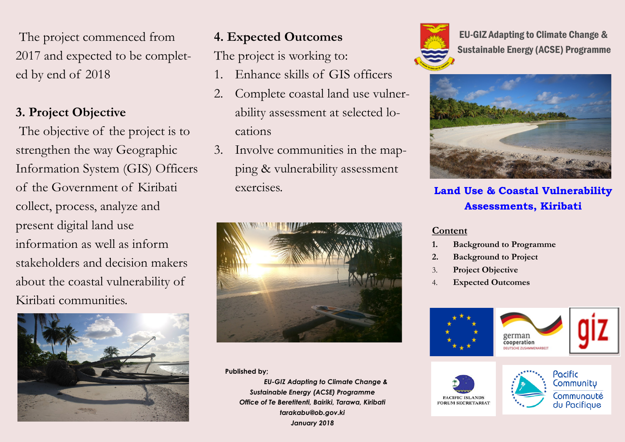The project commenced from 2017 and expected to be completed by end of 2018

## **3. Project Objective**

The objective of the project is to strengthen the way Geographic Information System (GIS) Officers of the Government of Kiribati collect, process, analyze and present digital land use information as well as inform stakeholders and decision makers about the coastal vulnerability of Kiribati communities.



## **4. Expected Outcomes**

The project is working to:

- 1. Enhance skills of GIS officers
- 2. Complete coastal land use vulnerability assessment at selected locations
- 3. Involve communities in the mapping & vulnerability assessment exercises.



**Published by;** 

 *EU-GIZ Adapting to Climate Change & Sustainable Energy (ACSE) Programme Office of Te Beretitenti, Bairiki, Tarawa, Kiribati tarakabu@ob.gov.ki January 2018*



EU-GIZ Adapting to Climate Change & Sustainable Energy (ACSE) Programme



**Land Use & Coastal Vulnerability Assessments, Kiribati**

## **Content**

- **1. Background to Programme**
- **2. Background to Project**
- 3. **Project Objective**
- 4. **Expected Outcomes**